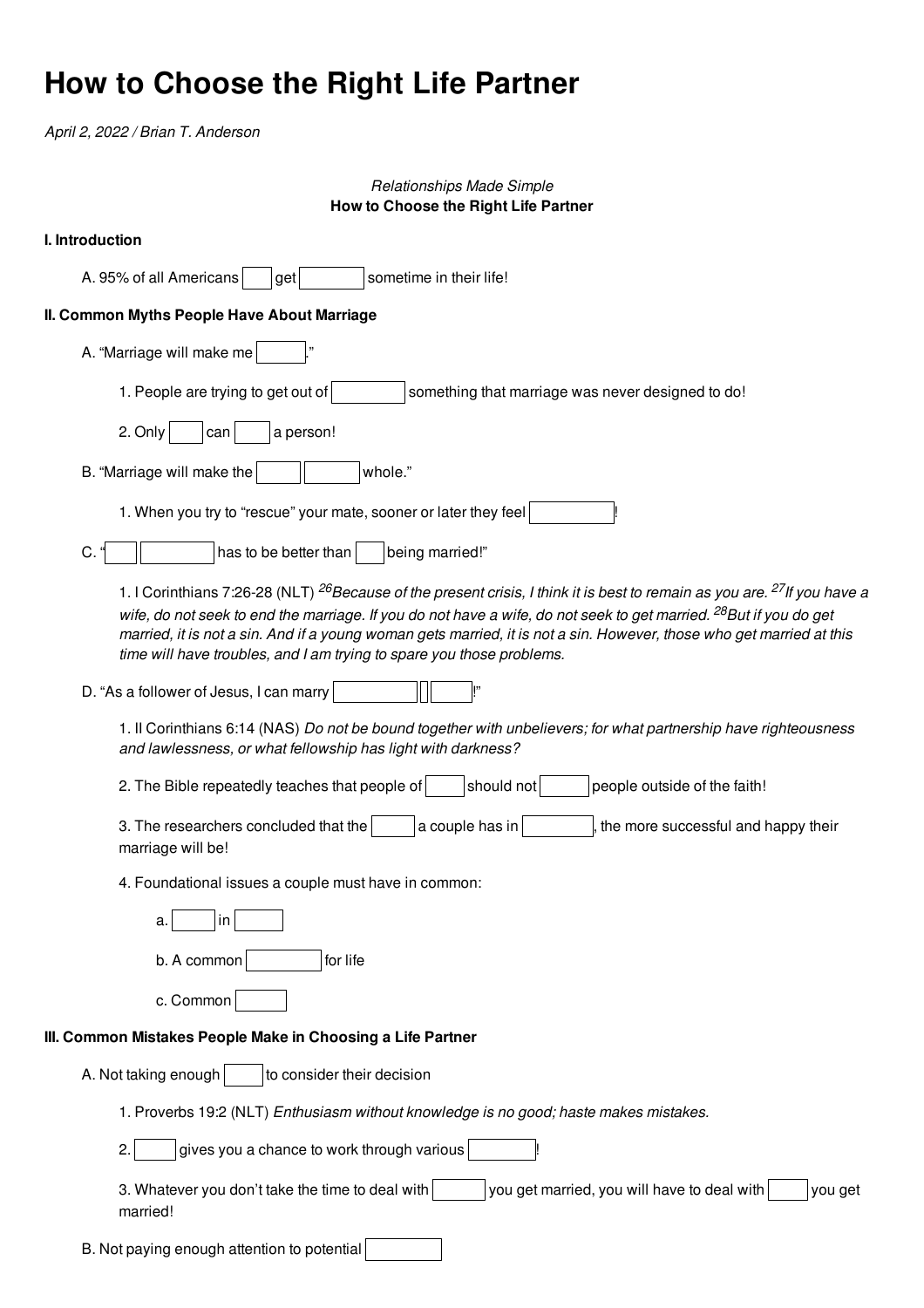## **How to Choose the Right Life Partner**

*April 2, 2022 / Brian T. Anderson*

## *Relationships Made Simple* **How to Choose the Right Life Partner**

| <b>I.</b> Introduction |
|------------------------|
|                        |
|                        |

A. 95% of all Americans  $\vert$   $\vert$  get  $\vert$  sometime in their life! **II. Common Myths People Have About Marriage** A. "Marriage will make me 1. People are trying to get out of  $\vert$  something that marriage was never designed to do! 2. Only  $\vert$  can  $\vert$  a person! B. "Marriage will make the  $\parallel$   $\parallel$  whole." 1. When you try to "rescue" your mate, sooner or later they feel C. " has to be better than being married!" 1. I Corinthians 7:26-28 (NLT) <sup>26</sup>Because of the present crisis, I think it is best to remain as you are. <sup>27</sup>If you have a wife, do not seek to end the marriage. If you do not have a wife, do not seek to get married. <sup>28</sup>But if you do get married, it is not a sin. And if a young woman gets married, it is not a sin. However, those who get married at this *time will have troubles, and I am trying to spare you those problems.* D. "As a follower of Jesus, I can marry 1. II Corinthians 6:14 (NAS) *Do not be bound together with unbelievers; for what partnership have righteousness and lawlessness, or what fellowship has light with darkness?* 2. The Bible repeatedly teaches that people of  $\vert$   $\vert$  should not  $\vert$   $\vert$  people outside of the faith! 3. The researchers concluded that the  $\vert a$  couple has in  $\vert$  the more successful and happy their marriage will be! 4. Foundational issues a couple must have in common: a. in  $b. A common$  for life c. Common **III. Common Mistakes People Make in Choosing a Life Partner** A. Not taking enough  $\vert$  to consider their decision 1. Proverbs 19:2 (NLT) *Enthusiasm without knowledge is no good; haste makes mistakes.*  $2.$  gives you a chance to work through various 3. Whatever you don't take the time to deal with  $|$  you get married, you will have to deal with  $|$  you get married!

B. Not paying enough attention to potential